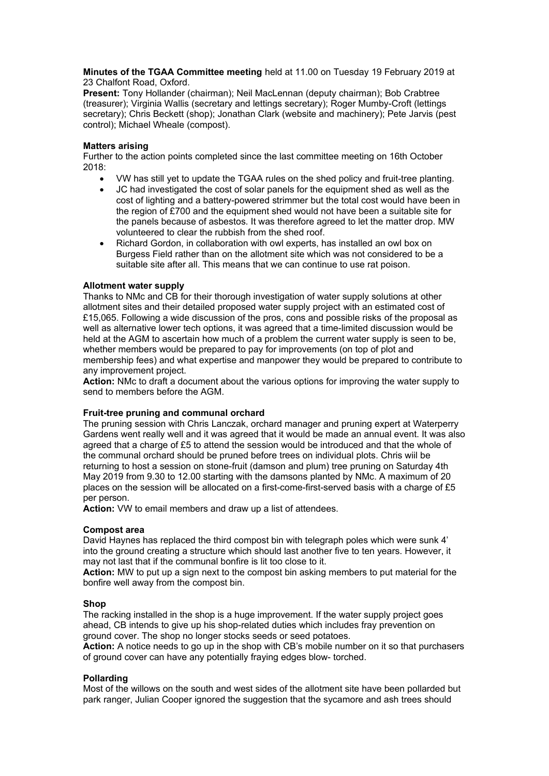**Minutes of the TGAA Committee meeting** held at 11.00 on Tuesday 19 February 2019 at 23 Chalfont Road, Oxford.

**Present:** Tony Hollander (chairman); Neil MacLennan (deputy chairman); Bob Crabtree (treasurer); Virginia Wallis (secretary and lettings secretary); Roger Mumby-Croft (lettings secretary); Chris Beckett (shop); Jonathan Clark (website and machinery); Pete Jarvis (pest control); Michael Wheale (compost).

# **Matters arising**

Further to the action points completed since the last committee meeting on 16th October 2018:

- VW has still yet to update the TGAA rules on the shed policy and fruit-tree planting.
- JC had investigated the cost of solar panels for the equipment shed as well as the cost of lighting and a battery-powered strimmer but the total cost would have been in the region of £700 and the equipment shed would not have been a suitable site for the panels because of asbestos. It was therefore agreed to let the matter drop. MW volunteered to clear the rubbish from the shed roof.
- Richard Gordon, in collaboration with owl experts, has installed an owl box on Burgess Field rather than on the allotment site which was not considered to be a suitable site after all. This means that we can continue to use rat poison.

# **Allotment water supply**

Thanks to NMc and CB for their thorough investigation of water supply solutions at other allotment sites and their detailed proposed water supply project with an estimated cost of £15,065. Following a wide discussion of the pros, cons and possible risks of the proposal as well as alternative lower tech options, it was agreed that a time-limited discussion would be held at the AGM to ascertain how much of a problem the current water supply is seen to be. whether members would be prepared to pay for improvements (on top of plot and membership fees) and what expertise and manpower they would be prepared to contribute to any improvement project.

**Action:** NMc to draft a document about the various options for improving the water supply to send to members before the AGM.

# **Fruit-tree pruning and communal orchard**

The pruning session with Chris Lanczak, orchard manager and pruning expert at Waterperry Gardens went really well and it was agreed that it would be made an annual event. It was also agreed that a charge of £5 to attend the session would be introduced and that the whole of the communal orchard should be pruned before trees on individual plots. Chris wiil be returning to host a session on stone-fruit (damson and plum) tree pruning on Saturday 4th May 2019 from 9.30 to 12.00 starting with the damsons planted by NMc. A maximum of 20 places on the session will be allocated on a first-come-first-served basis with a charge of £5 per person.

**Action:** VW to email members and draw up a list of attendees.

# **Compost area**

David Haynes has replaced the third compost bin with telegraph poles which were sunk 4' into the ground creating a structure which should last another five to ten years. However, it may not last that if the communal bonfire is lit too close to it.

**Action:** MW to put up a sign next to the compost bin asking members to put material for the bonfire well away from the compost bin.

# **Shop**

The racking installed in the shop is a huge improvement. If the water supply project goes ahead, CB intends to give up his shop-related duties which includes fray prevention on ground cover. The shop no longer stocks seeds or seed potatoes.

**Action:** A notice needs to go up in the shop with CB's mobile number on it so that purchasers of ground cover can have any potentially fraying edges blow- torched.

# **Pollarding**

Most of the willows on the south and west sides of the allotment site have been pollarded but park ranger, Julian Cooper ignored the suggestion that the sycamore and ash trees should